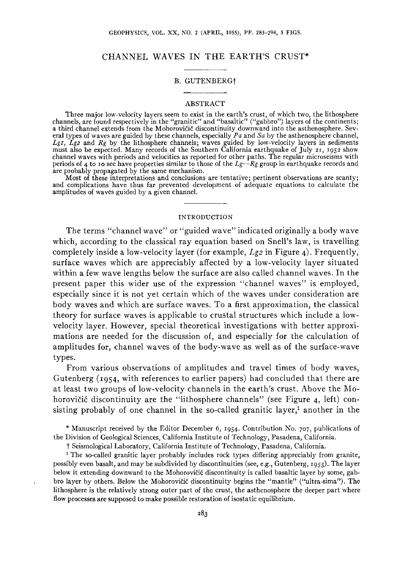# CHANNEL WAVES IN THE EARTH'S CRUST\*

### B. GUTENBERGt

#### ABSTRACT

Three major low-velocity layers seem to exist in the earth's crust, of which two, the lithosphere<br>channels, are found respectively in the "granitic" and "basaltic" ("gabbro") layers of the continents;<br>a third channel exten eral types of waves are guided by these channels, especially  $Pa$  and  $Sa$  by the asthenosphere channel,  $Lgr$ ,  $Lgz$  and  $Rg$  by the lithosphere channels; waves guided by low-velocity layers in sediments must also be expecte channel waves with periods and velocities as reported for other paths. The regular microseisms with periods of 4 to ro sec have properties similar to those of the *Lg-Rg* group in earthquake records and are probably propagated by the same mechanism.

Most of these interpretations and conclusions are tentative; pertinent observations are scanty; and complications have thus far prevented development of adequate equations to calculate the amplitudes of waves guided by a given channel.

### INTRODUCTION

The terms "channel wave" or "guided wave" indicated originally a body wave which, according to the classical ray equation based on Snell's law, is travelling completely inside a low-velocity layer (for example, *Lg2* in Figure 4). Frequently, surface waves which are appreciably affected by a low-velocity layer situated within a few wave lengths below the surface are also called channel waves. In the present paper this wider use of the expression "channel waves" is employed, especially since it is not yet certain which of the waves under consideration are body waves and which are surface waves. To a first approximation, the classical theory for surface waves is applicable to crustal structures which include a lowvelocity layer. However, special theoretical investigations with better approximations are needed for the discussion of, and especially for the calculation of amplitudes for, channel waves of the body-wave as well as of the surface-wave types.

From various observations of amplitudes and travel times of body waves, Gutenberg (1954, with references to earlier papers) had concluded that there are at least two groups of low-velocity channels in the earth's crust. Above the Mohorovičić discontinuity are the "lithosphere channels" (see Figure 4, left) consisting probably of one channel in the so-called granitic layer,<sup>1</sup> another in the

\*Manuscript received by the Editor December 6, 1954· Contribution No. 707, publications of the Division of Geological Sciences, California Institute of Technology, Pasadena, California.

 $\dagger$  Seismological Laboratory, California Institute of Technology, Pasadena, California.<br><sup>1</sup> The so-called granitic layer probably includes rock types differing appreciably from granite, possibly even basalt, and may be subdivided by discontinuities (see, e.g., Gutenberg, 1955). The layer below it extending downward to the Mohorovičić discontinuity is called basaltic layer by some, gabbro layer by others. Below the Mohorovičić discontinuity begins the "mantle" ("ultra-sima"). The lithosphere is the relatively strong outer part of the crust, the asthenosphere the deeper part where flow processes are supposed to make possible restoration of isostatic equilibrium.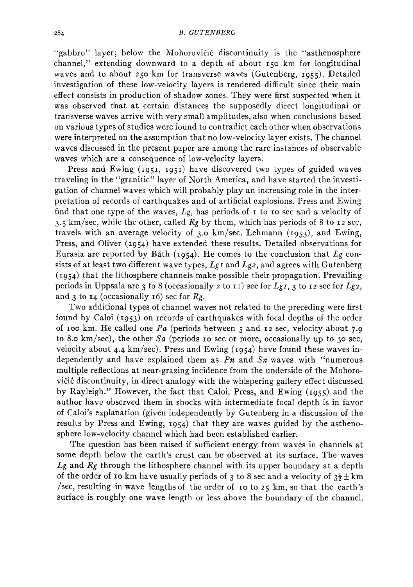"gabbro" layer; below the Mohorovicic discontinuity is the "asthenosphere channel," extending downward to a depth of about 150 km for longitudinal waves and to about 250 km for transverse waves (Gutenberg, 1955). Detailed investigation of these low-velocity layers is rendered difficult since their main effect consists in production of shadow zones. They were first suspected when it was observed that at certain distances the supposedly direct longitudinal or transverse waves arrive with very small amplitudes, also when conclusions based on various types of studies were found to contradict each other when observations were interpreted on the assumption that no low-velocity layer exists. The channel waves discussed in the present paper are among the rare instances of observable waves which are a consequence of low-velocity layers.

Press and Ewing (1951, 1952) have discovered two types of guided waves traveling in the "granitic" layer of North America, and have started the investigation of channel waves which will probably play an increasing role in the interpretation of records of earthquakes and of artificial explosions. Press and Ewing find that one type of the waves, *Lg,* has periods of 1 to IO sec and a velocity of 3.5 km/sec, while the other, called  $Rg$  by them, which has periods of 8 to 12 sec, travels with an average velocity of 3.0 km/sec. Lehmann (1953), and Ewing, Press, and Oliver (1954) have extended these results. Detailed observations for Eurasia are reported by Bath (1954). He comes to the conclusion that *Lg* consists of at least two different wave types, *LgI* and *Lg2,* and agrees with Gutenberg (1954) that the lithosphere channels make possible their propagation. Prevailing periods in Uppsala are 3 to 8 (occasionally *2* to II) sec for *Lgr,* 3 to 12 sec for *Lgz,*  and 3 to  $I_4$  (occasionally 16) sec for  $Re$ .

Two additional types of channel waves not related to the preceding were first found by Caloi (1953) on records of earthquakes with focal depths of the order of IOO km. He called one *Pa* (periods between 5 and 12 sec, velocity about 7.9 to 8.o km/sec), the other *Sa* (periods IO sec or more, occasionally up to 30 sec, velocity about 4.4 km/sec). Press and Ewing (1954) have found these waves independently and have explained them as *Pn* and *Sn* waves with "numerous multiple reflections at near-grazing incidence from the underside of the Mohorovičić discontinuity, in direct analogy with the whispering gallery effect discussed by Rayleigh." However, the fact that Caloi, Press, and Ewing (1955) and the author have observed them in shocks with intermediate focal depth is in favor of Caloi's explanation (given independently by Gutenberg in a discussion of the results by Press and Ewing, 1954) that they are waves guided by the asthenosphere low-velocity channel which had been established earlier.

The question has been raised if sufficient energy from waves in channels at some depth below the earth's crust can be observed at its surface. The waves *Lg* and *Rg* through the lithosphere channel with its upper boundary at a depth of the order of 10 km have usually periods of 3 to 8 sec and a velocity of  $3\frac{1}{2}$   $\pm$  km /sec, resulting in wave lengths of the order of 10 to 25 km, so that the earth's surface is roughly one wave length or less above the boundary of the channel.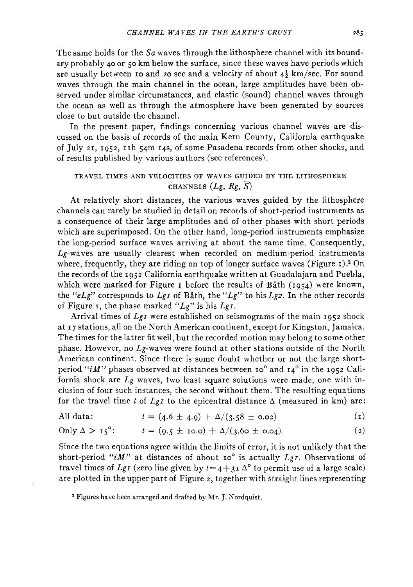The same holds for the *Sa* waves through the lithosphere channel with its boundary probably 40 or 50 km below the surface, since these waves have periods which are usually between 10 and 20 sec and a velocity of about  $4\frac{1}{2}$  km/sec. For sound waves through the main channel in the ocean, large amplitudes have been observed under similar circumstances, and elastic (sound) channel waves through the ocean as well as through the atmosphere have been generated by sources close to but outside the channel.

In the present paper, findings concerning various channel waves are discussed on the basis of records of the main Kern County, California earthquake of July 21, 1952, IIh 54m 14s, of some Pasadena records from other shocks, and of results published by various authors (see references).

# TRAVEL TIMES AND VELOCITIES OF WAVES GUIDED BY THE LITHOSPHERE CHANNELS *(Lg, Rg,* S)

At relatively short distances, the various waves guided by the lithosphere channels can rarely be studied in detail on records of short-period instruments as a consequence of their large amplitudes and of other phases with short periods which are superimposed. On the other hand, long-period instruments emphasize the long-period surface waves arriving at about the same time. Consequently,  $Lg$ -waves are usually clearest when recorded on medium-period instruments where, frequently, they are riding on top of longer surface waves (Figure 1).<sup>2</sup> On the records of the 1952 California earthquake written at Guadalajara and Puebla, which were marked for Figure 1 before the results of Båth  $(1054)$  were known, the *"eLg"* corresponds to *Lgr* of Bath, the *"Lg"* to his *Lg2.* In the other records of Figure 1, the phase marked *"Lg"* is his *LgI.* 

Arrival times of *Lg1* were established on seismograms of the main 1952 shock at 17 stations, all on the North American continent, except for Kingston, Jamaica. The times for the latter fit well, but the recorded motion may belong to some other phase. However, no  $L_g$ -waves were found at other stations outside of the North American continent. Since there is some doubt whether or not the large shortperiod "iM" phases observed at distances between  $10^{\circ}$  and  $14^{\circ}$  in the 1952 California shock are *Lg* waves, two least square solutions were made, one with inclusion of four such instances, the second without them. The resulting equations for the travel time *t* of  $LgI$  to the epicentral distance  $\Delta$  (measured in km) are:

All data: 
$$
t = (4.6 \pm 4.9) + \Delta/(3.58 \pm 0.02)
$$
 (1)

Only 
$$
\Delta > i_5^{\circ}
$$
:  $t = (9.5 \pm i_0.0) + \Delta/(3.60 \pm 0.04).$  (2)

Since the two equations agree within the limits of error, it is not unlikely that the short-period "iM" at distances of about 10° is actually *LgI*. Observations of travel times of *Lg<sub>I</sub>* (zero line given by  $t=4+3I\Delta^{\circ}$  to permit use of a large scale) are plotted in the upper part of Figure 2, together with straight lines representing

<sup>&</sup>lt;sup>2</sup> Figures have been arranged and drafted by Mr. J. Nordquist.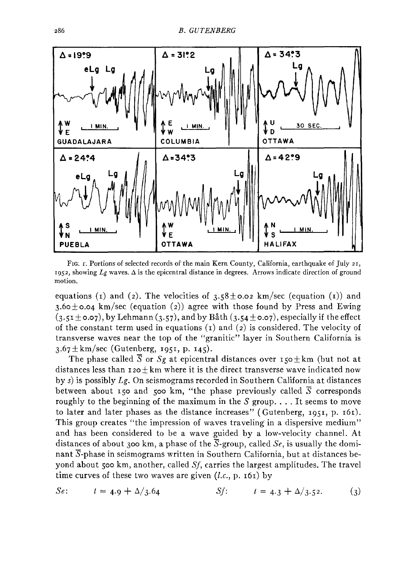

FIG:  $r$ . Portions of selected records of the main Kern County, California, earthquake of July 21, 1952, showing Lg waves. A is the epicentral distance in degrees. Arrows indicate direction of ground motion.

equations (1) and (2). The velocities of  $3.58\pm0.02$  km/sec (equation (1)) and 3.60 $\pm$ 0.04 km/sec (equation (2)) agree with those found by Press and Ewing  $(3.51\pm0.07)$ , by Lehmann  $(3.57)$ , and by Båth  $(3.54\pm0.07)$ , especially if the effect of the constant term used in equations  $(1)$  and  $(2)$  is considered. The velocity of transverse waves near the top of the "granitic" layer in Southern California is  $3.67 \pm km/sec$  (Gutenberg, 1951, p. 145).

The phase called  $\overline{S}$  or  $S_g$  at epicentral distances over 150 $\pm$ km (but not at distances less than  $120 \pm km$  where it is the direct transverse wave indicated now bys) is possibly *Lg.* On seismograms recorded in Southern California at distances between about 150 and 500 km, "the phase previously called  $\overline{S}$  corresponds roughly to the beginning of the maximum in the  $S$  group.... It seems to move to later and later phases as the distance increases" (Gutenberg, 1951, p. 161). This group creates "the impression of waves traveling in a dispersive medium" and has been considered to be a wave guided by a low-velocity channel. At distances of about 300 km, a phase of the S-group, called *Se,* is usually the dominant S-phase in seismograms written in Southern California, but at distances beyond about 500 km, another, called *Sf,* carries the largest amplitudes. The travel time curves of these two waves are given *(l.c.,* p. 161) by

*Se*: 
$$
t = 4.9 + \Delta/3.64
$$
 *Sf*:  $t = 4.3 + \Delta/3.52$ . (3)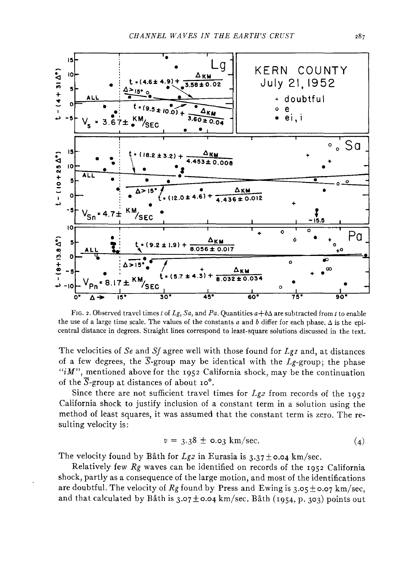

FIG. 2. Observed travel times *t* of *Lg, Sa,* and *Pa*. Quantities  $a+b\Delta$  are subtracted from *t* to enable the use of a large time scale. The values of the constants *a* and *b* differ for each phase. A is the epicentral distance in degrees. Straight lines correspond to least-square solutions discussed in the text.

The velocities of *Se* and *Sf* agree well with those found for *Lgi* and, at distances of a few degrees, the  $\overline{S}$ -group may be identical with the  $L_g$ -group; the phase *"iM",* mentioned above for the 1952 California shock, may be the continuation of the  $\overline{S}$ -group at distances of about 10°.

Since there are not sufficient travel times for *Lg2* from records of the 1952 California shock to justify inclusion of a constant term in a solution using the method of least squares, it was assumed that the constant term is zero. The resulting velocity is:

$$
v = 3.38 \pm 0.03 \text{ km/sec.} \tag{4}
$$

The velocity found by Båth for *Lg2* in Eurasia is  $3.37 \pm 0.04$  km/sec.

Relatively few  $R_g$  waves can be identified on records of the 1952 California shock, partly as a consequence of the large motion, and most of the identifications are doubtful. The velocity of  $Rg$  found by Press and Ewing is  $3.05 \pm 0.07$  km/sec, and that calculated by Båth is  $3.07 \pm 0.04$  km/sec. Båth (1954, p. 303) points out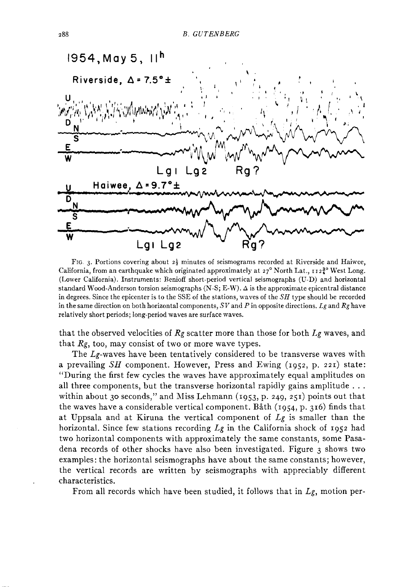

FIG. 3. Portions covering about  $2\frac{1}{2}$  minutes of seismograms recorded at Riverside and Haiwee, California, from an earthquake which originated approximately at  $27^{\circ}$  North Lat.,  $12\frac{3}{4}^{\circ}$  West Long. (Lower California). Instruments: Benioff short-period vertical seismographs (U-D) and horizontal standard Wood-Anderson torsion seismographs  $(N-S; E-W)$ .  $\Delta$  is the approximate epicentral distance in degrees. Since the epicenter is to the SSE of the stations, waves of the  $SH$  type should be recorded in the same direction on both horizontal components, *SV* and Pin opposite directions. *Lg* and *Rg* have relatively short periods; long-period waves are surface waves.

that the observed velocities of *Rg* scatter more than those for both *Lg* waves, and that *Rg,* too, may consist of two or more wave types.

The Lg-waves have been tentatively considered to be transverse waves with a prevailing SH component. However, Press and Ewing (1952, p. 221) state: "During the first few cycles the waves have approximately equal amplitudes on all three components, but the transverse horizontal rapidly gains amplitude ... within about 30 seconds," and Miss Lehmann ( $1953$ , p. 249, 251) points out that the waves have a considerable vertical component. Bath (1954, p. 316) finds that at Uppsala and at Kiruna the vertical component of *Lg* is smaller than the horizontal. Since few stations recording *Lg* in the California shock of 1952 had two horizontal components with approximately the same constants, some Pasadena records of other shocks have also been investigated. Figure  $\alpha$  shows two examples: the horizontal seismographs have about the same constants; however, the vertical records are written by seismographs with appreciably different characteristics.

From all records which have been studied, it follows that in *Lg,* motion per-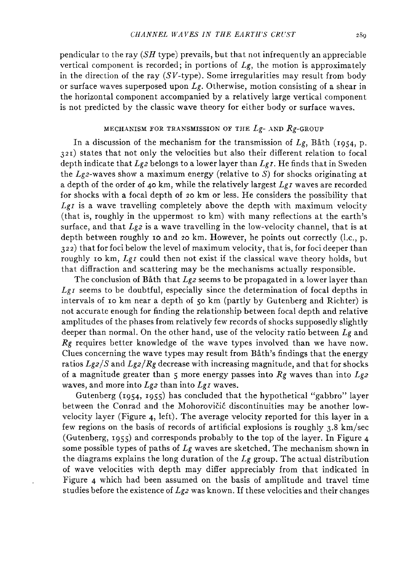pendicular to the ray  $(SH$  type) prevails, but that not infrequently an appreciable vertical component is recorded; in portions of *Lg,* the motion is approximately in the direction of the ray  $(SV$ -type). Some irregularities may result from body or surface waves superposed upon *Lg.* Otherwise, motion consisting of a shear in the horizontal component accompanied by a relatively large vertical component is not predicted by the classic wave theory for either body or surface waves.

### MECHANISM FOR TRANSMISSION OF THE *Lg-* AND Rg-GROUP

In a discussion of the mechanism for the transmission of *Lg,* Bath (1954, p. 321) states that not only the velocities but also their different relation to focal depth indicate that *Lg2* belongs to a lower layer than *LgI.* He finds that in Sweden the  $Lg_2$ -waves show a maximum energy (relative to S) for shocks originating at a depth of the order of 40 km, while the relatively largest *LgI* waves are recorded for shocks with a focal depth of 20 km or less. He considers the possibility that *Lgr* is a wave travelling completely above the depth with maximum velocity (that is, roughly in the uppermost ro km) with many reflections at the earth's surface, and that *Lg2* is a wave travelling in the low-velocity channel, that is at depth between roughly 10 and 20 km. However, he points out correctly (l.c., p. 322) that for foci below the level of maximum velocity, that is, for foci deeper than roughly Io km, *LgI* could then not exist if the classical wave theory holds, but that diffraction and scattering may be the mechanisms actually responsible.

The conclusion of Båth that *Lg2* seems to be propagated in a lower layer than *Lgr* seems to be doubtful, especially since the determination of focal depths in intervals of ro km near a depth of 50 km (partly by Gutenberg and Richter) is not accurate enough for finding the relationship between focal depth and relative amplitudes of the phases from relatively few records of shocks supposedly slightly deeper than normal. On the other hand, use of the velocity ratio between *Lg* and *Rg* requires better knowledge of the wave types involved than we have now. Clues concerning the wave types may result from Bath's findings that the energy ratios *Lg2/S* and *Lg2/Rg* decrease with increasing magnitude, and that for shocks of a magnitude greater than *5* more energy passes into *Rg* waves than into *Lg2*  waves, and more into *Lg2* than into *LgI* waves.

Gutenberg (I954, I955) has concluded that the hypothetical "gabbro" layer between the Conrad and the Mohorovičić discontinuities may be another lowvelocity layer (Figure 4, left). The average velocity reported for this layer in a few regions on the basis of records of artificial explosions is roughly 3.8 km/sec (Gutenberg, I955) and corresponds probably to the top of the layer. In Figure 4 some possible types of paths of *Lg* waves are sketched. The mechanism shown in the diagrams explains the long duration of the *Lg* group. The actual distribution of wave velocities with depth may differ appreciably from that indicated in Figure 4 which had been assumed on the basis of amplitude and travel time studies before the existence of *Lg2* was known. If these velocities and their changes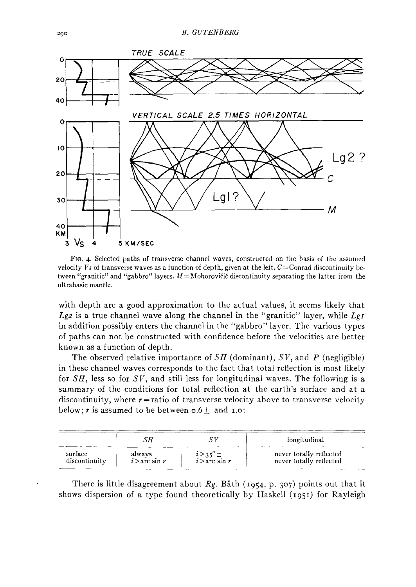

FIG. 4. Selected paths of transverse channel waves, constructed on the basis of the assumed velocity *Vs* of transverse waves as a function of depth, given at the left.  $C = \text{Conrad}$  discontinuity between "granitic" and "gabbro" layers.  $M =$ Mohorovičić discontinuity separating the latter from the ultrabasic mantle.

with depth are a good approximation to the actual values, it seems likely that  $Lgz$  is a true channel wave along the channel in the "granitic" layer, while  $LgI$ in addition possibly enters the channel in the "gabbro" layer. The various types of paths can not be constructed with confidence before the velocities are better known as a function of depth.

The observed relative importance of *SH* (dominant), *SV,* and *P* (negligible) in these channel waves corresponds to the fact that total reflection is most likely for *SH,* less so for *SV,* and still less for longitudinal waves. The following is a summary of the conditions for total reflection at the earth's surface and at a discontinuity, where  $r =$ ratio of transverse velocity above to transverse velocity below;  $r$  is assumed to be between  $0.6 \pm$  and **1.0**:

|               |                 |                                  | longitudinal            |
|---------------|-----------------|----------------------------------|-------------------------|
| surface       | always          | $i > 35^\circ \pm i >$ arc sin r | never totally reflected |
| discontinuity | $i >$ arc sin r |                                  | never totally reflected |

There is little disagreement about  $Rg$ . Båth (1954, p. 307) points out that it shows dispersion of a type found theoretically by Haskell (1951) for Rayleigh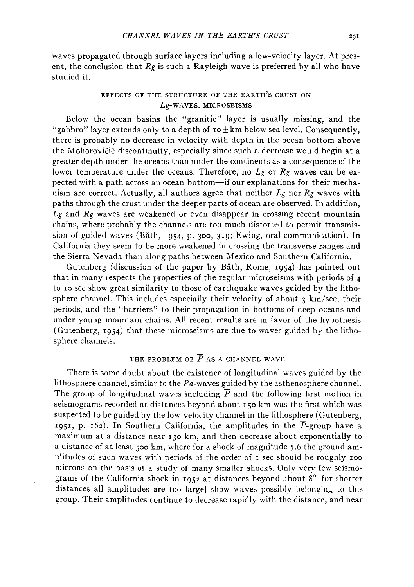waves propagated through surface layers including a low-velocity layer. At present, the conclusion that *Rg* is such a Rayleigh wave is preferred by all who have studied it.

### EFFECTS OF THE STRUCTURE OF THE EARTH'S CRUST ON Lg-WAVES. MICROSEISMS

Below the ocean basins the "granitic" layer is usually missing, and the "gabbro" layer extends only to a depth of  $\texttt{to} \pm \texttt{km}$  below sea level. Consequently, there is probably no decrease in velocity with depth in the ocean bottom above the Mohorovičić discontinuity, especially since such a decrease would begin at a greater depth under the oceans than under the continents as a consequence of the lower temperature under the oceans. Therefore, no *Lg* or *Rg* waves can be expected with a path across an ocean bottom-if our explanations for their mechanism are correct. Actually, all authors agree that neither *Lg* nor *Rg* waves with paths through the crust under the deeper parts of ocean are observed. In addition, *Lg* and *Rg* waves are weakened or even disappear in crossing recent mountain chains, where probably the channels are too much distorted to permit transmission of guided waves (Bath, I954, p. 300, 319; Ewing, oral communication). In California they seem to be more weakened in crossing the transverse ranges and the Sierra Nevada than along paths between Mexico and Southern California.

Gutenberg (discussion of the paper by Bath, Rome, I954) has pointed out that in many respects the properties of the regular microseisms with periods of 4 to Io sec show great similarity to those of earthquake waves guided by the lithosphere channel. This includes especially their velocity of about  $3 \text{ km/sec}$ , their periods, and the "barriers" to their propagation in bottoms of deep oceans and under young mountain chains. All recent results are in favor of the hypothesis (Gutenberg, I954) that these microseisms are due to waves guided by the lithosphere channels.

### THE PROBLEM OF  $\overline{P}$  AS A CHANNEL WAVE

There is some doubt about the existence of longitudinal waves guided by the lithosphere channel, similar to the Pa-waves guided by the asthenosphere channel. The group of longitudinal waves including  $\overline{P}$  and the following first motion in seismograms recorded at distances beyond about I 50 km was the first which was suspected to be guided by the low-velocity channel in the lithosphere (Gutenberg, 1951, p. 162). In Southern California, the amplitudes in the  $\overline{P}$ -group have a maximum at a distance near 130 km, and then decrease about exponentially to a distance of at least 500 km, where for a shock of magnitude 7.6 the ground amplitudes of such waves with periods of the order of 1 sec should be roughly 100 microns on the basis of a study of many smaller shocks. Only very few seismograms of the California shock in 1952 at distances beyond about 8° [for shorter distances all amplitudes are too large] show waves possibly belonging to this group. Their amplitudes continue to decrease rapidly with the distance, and near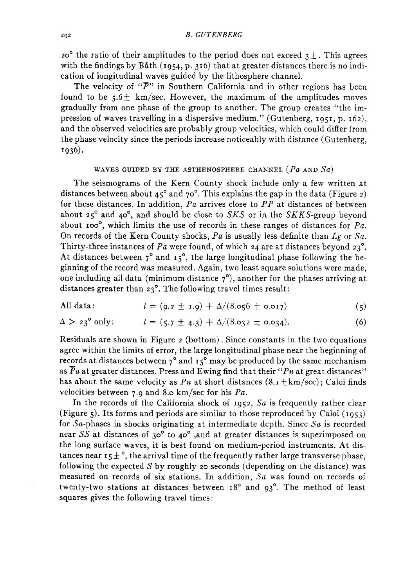20° the ratio of their amplitudes to the period does not exceed  $3\pm$ . This agrees with the findings by Båth (1954, p. 316) that at greater distances there is no indication of longitudinal waves guided by the lithosphere channel.

The velocity of " $\overline{P}$ " in Southern California and in other regions has been found to be  $5.6 \pm \text{ km/sec}$ . However, the maximum of the amplitudes moves gradually from one phase of the group to another. The group creates "the impression of waves travelling in a dispersive medium." (Gutenberg, 1951, p. 162), and the observed velocities are probably group velocities, which could differ from the phase velocity since the periods increase noticeably with distance (Gutenberg, 1936).

### WAVES GUIDED BY THE ASTHENOSPHERE CHANNEL *(Pa* AND *Sa)*

The seismograms of the Kern County shock include only a few written at distances between about  $45^{\circ}$  and  $70^{\circ}$ . This explains the gap in the data (Figure 2) for these distances. In addition, *Pa* arrives close to *PP* at distances of between about 25° and 40°, and should be close to *SKS* or in the *SKKS-group* beyond about 100°, which limits the use of records in these ranges of distances for *Pa.*  On records of the Kern County shocks, *Pa* is usually less definite than *Lg* or *Sa.*  Thirty-three instances of  $Pa$  were found, of which 24 are at distances beyond  $23^\circ$ . At distances between  $7^\circ$  and  $15^\circ$ , the large longitudinal phase following the beginning of the record was measured. Again, two least square solutions were made, one including all data (minimum distance  $7^\circ$ ), another for the phases arriving at distances greater than 23°. The following travel times result:

All data: 
$$
t = (9.2 \pm 1.9) + \Delta/(8.056 \pm 0.017)
$$
 (5)

$$
\Delta > 23^{\circ} \text{ only:} \qquad t = (5.7 \pm 4.3) + \Delta/(8.032 \pm 0.034). \qquad (6)
$$

Residuals are shown in Figure 2 (bottom). Since constants in the two equations agree within the limits of error, the large longitudinal phase near the beginning of records at distances between  $7^\circ$  and  $15^\circ$  may be produced by the same mechanism as *Pa* at greater distances. Press and Ewing find that their *"Pn* at great distances" has about the same velocity as *Pn* at short distances  $(8 \tcdot 1 \pm km/sec)$ ; Caloi finds velocities between 7 .9 and 8.o km/sec for his *Pa.* 

In the records of the California shock of 1952, *Sa* is frequently rather clear (Figure 5). Its forms and periods are similar to those reproduced by Caloi  $(1953)$ for Sa-phases in shocks originating at intermediate depth. Since *Sa* is recorded near *SS* at distances of 30° to 40° ,and at greater distances is superimposed on the long surface waves, it is best found on medium-period instruments. At distances near  $15\pm$   $^\circ$ , the arrival time of the frequently rather large transverse phase, following the expected  $S$  by roughly 20 seconds (depending on the distance) was measured on records of six stations. In addition, *Sa* was found on records of twenty-two stations at distances between 18° and 93°. The method of least squares gives the following travel times: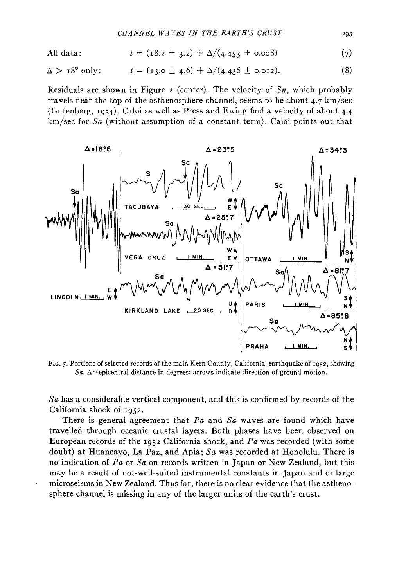All data: 
$$
t = (18.2 \pm 3.2) + \Delta/(4.453 \pm 0.008)
$$
 (7)

$$
\Delta > 18^{\circ} \text{ only:} \qquad t = (13.0 \pm 4.6) + \Delta/(4.436 \pm 0.012). \tag{8}
$$

Residuals are shown in Figure 2 (center). The velocity of *Sn,* which probably travels near the top of the asthenosphere channel, seems to be about 4.7 km/sec (Gutenberg, 1954). Caloi as well as Press and Ewing find a velocity of about 4.4 km/sec for *Sa* (without assumption of a constant term). Caloi points out that



FIG. 5. Portions of selected records of the main Kem County, California, earthquake of 1952, showing *Sa.*  $\Delta$ =epicentral distance in degrees; arrows indicate direction of ground motion.

*Sa* has a considerable vertical component, and this is confirmed by records of the California shock of 1952.

There is general agreement that *Pa* and *Sa* waves are found which have travelled through oceanic crustal layers. Both phases have been observed on European records of the 1952 California shock, and *Pa* was recorded (with some doubt) at Huancayo, La Paz, and Apia; *Sa* was recorded at Honolulu. There is no indication of *Pa* or *Sa* on records written in Japan or New Zealand, but this may be a result of not-well-suited instrumental constants in Japan and of large microseisms in New Zealand. Thus far, there is no clear evidence that the asthenosphere channel is missing in any of the larger units of the earth's crust.